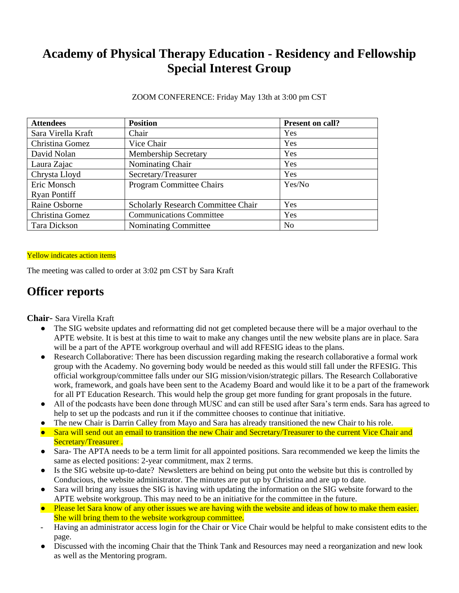# **Academy of Physical Therapy Education - Residency and Fellowship Special Interest Group**

ZOOM CONFERENCE: Friday May 13th at 3:00 pm CST

| <b>Attendees</b>    | <b>Position</b>                           | Present on call? |
|---------------------|-------------------------------------------|------------------|
| Sara Virella Kraft  | Chair                                     | Yes              |
| Christina Gomez     | Vice Chair                                | Yes              |
| David Nolan         | <b>Membership Secretary</b>               | Yes              |
| Laura Zajac         | Nominating Chair                          | Yes              |
| Chrysta Lloyd       | Secretary/Treasurer                       | Yes              |
| Eric Monsch         | <b>Program Committee Chairs</b>           | Yes/No           |
| <b>Ryan Pontiff</b> |                                           |                  |
| Raine Osborne       | <b>Scholarly Research Committee Chair</b> | Yes              |
| Christina Gomez     | <b>Communications Committee</b>           | Yes              |
| Tara Dickson        | Nominating Committee                      | N <sub>0</sub>   |

#### Yellow indicates action items

The meeting was called to order at 3:02 pm CST by Sara Kraft

### **Officer reports**

**Chair**- Sara Virella Kraft

- The SIG website updates and reformatting did not get completed because there will be a major overhaul to the APTE website. It is best at this time to wait to make any changes until the new website plans are in place. Sara will be a part of the APTE workgroup overhaul and will add RFESIG ideas to the plans.
- Research Collaborative: There has been discussion regarding making the research collaborative a formal work group with the Academy. No governing body would be needed as this would still fall under the RFESIG. This official workgroup/committee falls under our SIG mission/vision/strategic pillars. The Research Collaborative work, framework, and goals have been sent to the Academy Board and would like it to be a part of the framework for all PT Education Research. This would help the group get more funding for grant proposals in the future.
- All of the podcasts have been done through MUSC and can still be used after Sara's term ends. Sara has agreed to help to set up the podcasts and run it if the committee chooses to continue that initiative.
- The new Chair is Darrin Calley from Mayo and Sara has already transitioned the new Chair to his role.
- Sara will send out an email to transition the new Chair and Secretary/Treasurer to the current Vice Chair and Secretary/Treasurer .
- Sara- The APTA needs to be a term limit for all appointed positions. Sara recommended we keep the limits the same as elected positions: 2-year commitment, max 2 terms.
- Is the SIG website up-to-date? Newsletters are behind on being put onto the website but this is controlled by Conducious, the website administrator. The minutes are put up by Christina and are up to date.
- Sara will bring any issues the SIG is having with updating the information on the SIG website forward to the APTE website workgroup. This may need to be an initiative for the committee in the future.
- Please let Sara know of any other issues we are having with the website and ideas of how to make them easier. She will bring them to the website workgroup committee.
- Having an administrator access login for the Chair or Vice Chair would be helpful to make consistent edits to the page.
- Discussed with the incoming Chair that the Think Tank and Resources may need a reorganization and new look as well as the Mentoring program.